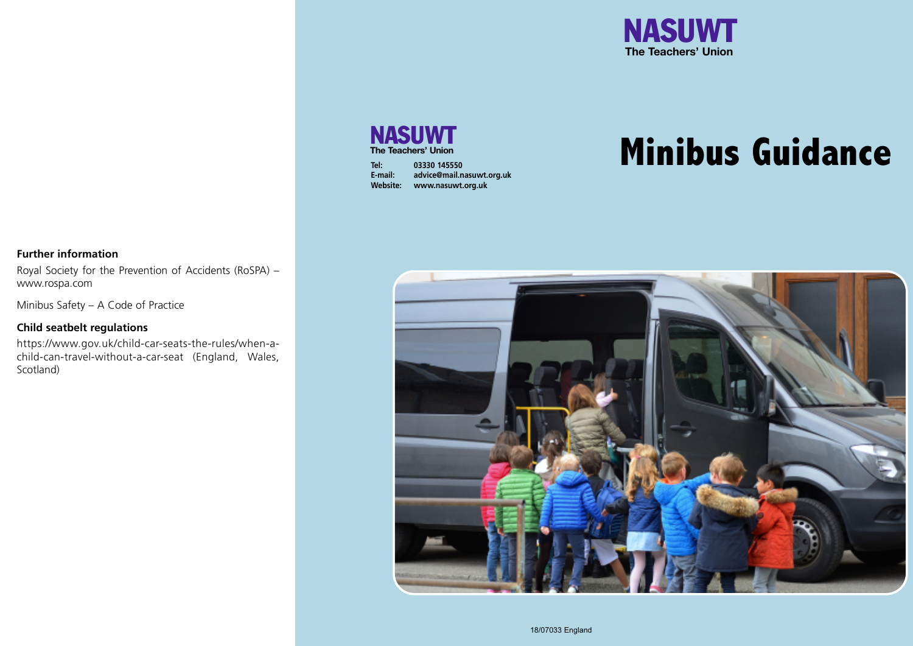

# **NASUWT The Teachers' Union**

| Tel:            | 03330 145550              |
|-----------------|---------------------------|
| E-mail:         | advice@mail.nasuwt.org.uk |
| <b>Website:</b> | www.nasuwt.org.uk         |

# **Minibus Guidance**

## **Further information**

Royal Society for the Prevention of Accidents (RoSPA) – www.rospa.com

Minibus Safety – A Code of Practice

#### **Child seatbelt regulations**

https://www.gov.uk/child-car-seats-the-rules/when-achild-can-travel-without-a-car-seat (England, Wales, Scotland)